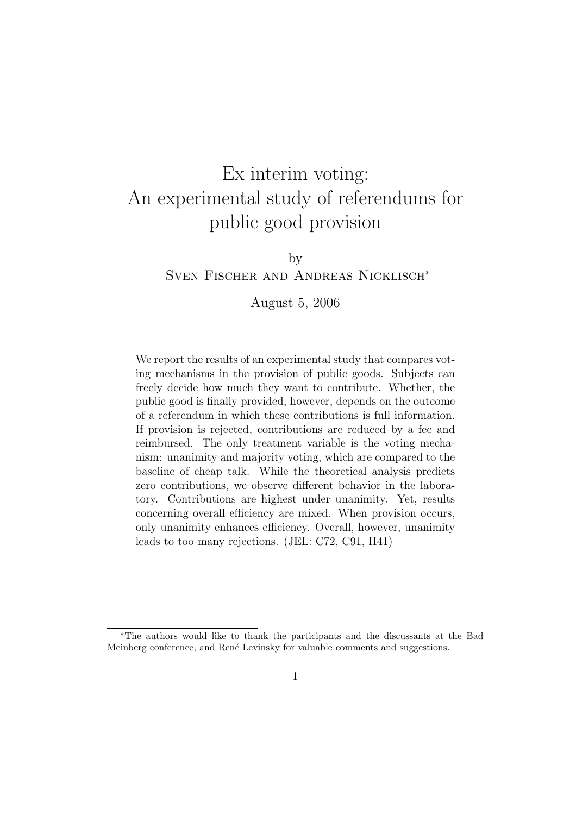# Ex interim voting: An experimental study of referendums for public good provision

by

# Sven Fischer and Andreas Nicklisch<sup>∗</sup>

# August 5, 2006

We report the results of an experimental study that compares voting mechanisms in the provision of public goods. Subjects can freely decide how much they want to contribute. Whether, the public good is finally provided, however, depends on the outcome of a referendum in which these contributions is full information. If provision is rejected, contributions are reduced by a fee and reimbursed. The only treatment variable is the voting mechanism: unanimity and majority voting, which are compared to the baseline of cheap talk. While the theoretical analysis predicts zero contributions, we observe different behavior in the laboratory. Contributions are highest under unanimity. Yet, results concerning overall efficiency are mixed. When provision occurs, only unanimity enhances efficiency. Overall, however, unanimity leads to too many rejections. (JEL: C72, C91, H41)

<sup>∗</sup>The authors would like to thank the participants and the discussants at the Bad Meinberg conference, and Ren´e Levinsky for valuable comments and suggestions.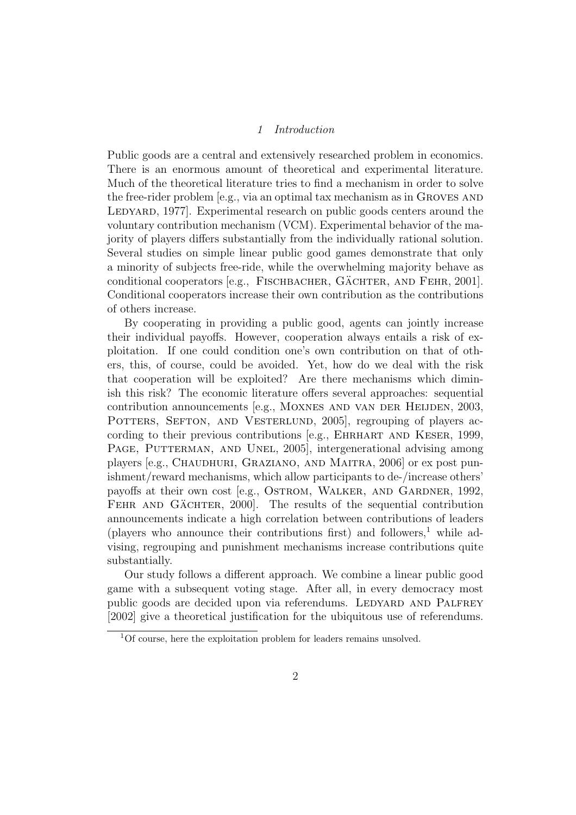#### 1 Introduction

Public goods are a central and extensively researched problem in economics. There is an enormous amount of theoretical and experimental literature. Much of the theoretical literature tries to find a mechanism in order to solve the free-rider problem [e.g., via an optimal tax mechanism as in Groves and LEDYARD, 1977. Experimental research on public goods centers around the voluntary contribution mechanism (VCM). Experimental behavior of the majority of players differs substantially from the individually rational solution. Several studies on simple linear public good games demonstrate that only a minority of subjects free-ride, while the overwhelming majority behave as conditional cooperators [e.g., FISCHBACHER, GÄCHTER, AND FEHR,  $2001$ ]. Conditional cooperators increase their own contribution as the contributions of others increase.

By cooperating in providing a public good, agents can jointly increase their individual payoffs. However, cooperation always entails a risk of exploitation. If one could condition one's own contribution on that of others, this, of course, could be avoided. Yet, how do we deal with the risk that cooperation will be exploited? Are there mechanisms which diminish this risk? The economic literature offers several approaches: sequential contribution announcements [e.g., MOXNES AND VAN DER HEIJDEN, 2003, POTTERS, SEFTON, AND VESTERLUND, 2005, regrouping of players according to their previous contributions [e.g., EHRHART AND KESER, 1999, PAGE, PUTTERMAN, AND UNEL, 2005, intergenerational advising among players [e.g., CHAUDHURI, GRAZIANO, AND MAITRA, 2006] or ex post punishment/reward mechanisms, which allow participants to de-/increase others' payoffs at their own cost [e.g., OSTROM, WALKER, AND GARDNER, 1992, FEHR AND GÄCHTER, 2000]. The results of the sequential contribution announcements indicate a high correlation between contributions of leaders (players who announce their contributions first) and followers,<sup>1</sup> while advising, regrouping and punishment mechanisms increase contributions quite substantially.

Our study follows a different approach. We combine a linear public good game with a subsequent voting stage. After all, in every democracy most public goods are decided upon via referendums. LEDYARD AND PALFREY [2002] give a theoretical justification for the ubiquitous use of referendums.

<sup>&</sup>lt;sup>1</sup>Of course, here the exploitation problem for leaders remains unsolved.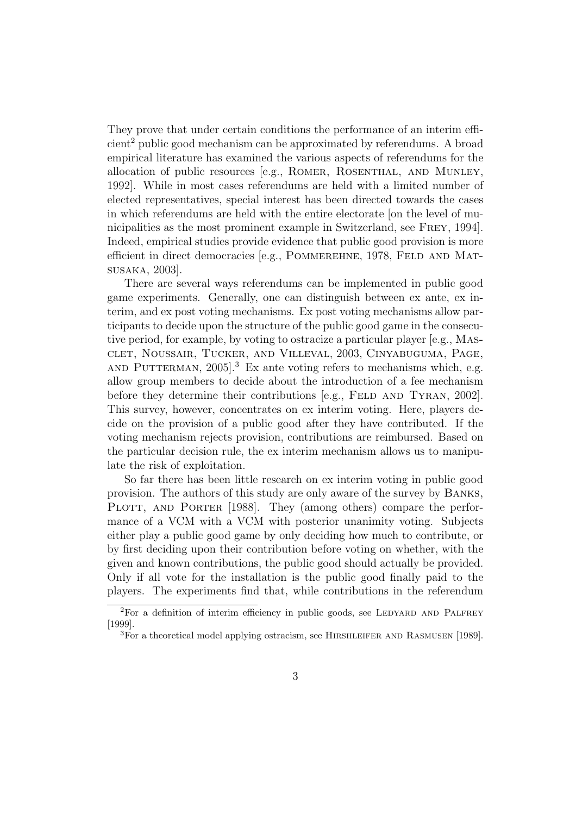They prove that under certain conditions the performance of an interim efficient<sup>2</sup> public good mechanism can be approximated by referendums. A broad empirical literature has examined the various aspects of referendums for the allocation of public resources [e.g., Romer, Rosenthal, and Munley, 1992]. While in most cases referendums are held with a limited number of elected representatives, special interest has been directed towards the cases in which referendums are held with the entire electorate [on the level of municipalities as the most prominent example in Switzerland, see Frey, 1994]. Indeed, empirical studies provide evidence that public good provision is more efficient in direct democracies [e.g., POMMEREHNE, 1978, FELD AND MATsusaka, 2003].

There are several ways referendums can be implemented in public good game experiments. Generally, one can distinguish between ex ante, ex interim, and ex post voting mechanisms. Ex post voting mechanisms allow participants to decide upon the structure of the public good game in the consecutive period, for example, by voting to ostracize a particular player [e.g., Masclet, Noussair, Tucker, and Villeval, 2003, Cinyabuguma, Page, AND PUTTERMAN,  $2005$ <sup>3</sup>. Ex ante voting refers to mechanisms which, e.g. allow group members to decide about the introduction of a fee mechanism before they determine their contributions  $[e.g., FELD AND TYRAN, 2002]$ . This survey, however, concentrates on ex interim voting. Here, players decide on the provision of a public good after they have contributed. If the voting mechanism rejects provision, contributions are reimbursed. Based on the particular decision rule, the ex interim mechanism allows us to manipulate the risk of exploitation.

So far there has been little research on ex interim voting in public good provision. The authors of this study are only aware of the survey by Banks, PLOTT, AND PORTER [1988]. They (among others) compare the performance of a VCM with a VCM with posterior unanimity voting. Subjects either play a public good game by only deciding how much to contribute, or by first deciding upon their contribution before voting on whether, with the given and known contributions, the public good should actually be provided. Only if all vote for the installation is the public good finally paid to the players. The experiments find that, while contributions in the referendum

 ${}^{2}$ For a definition of interim efficiency in public goods, see LEDYARD AND PALFREY [1999].

<sup>&</sup>lt;sup>3</sup>For a theoretical model applying ostracism, see HIRSHLEIFER AND RASMUSEN [1989].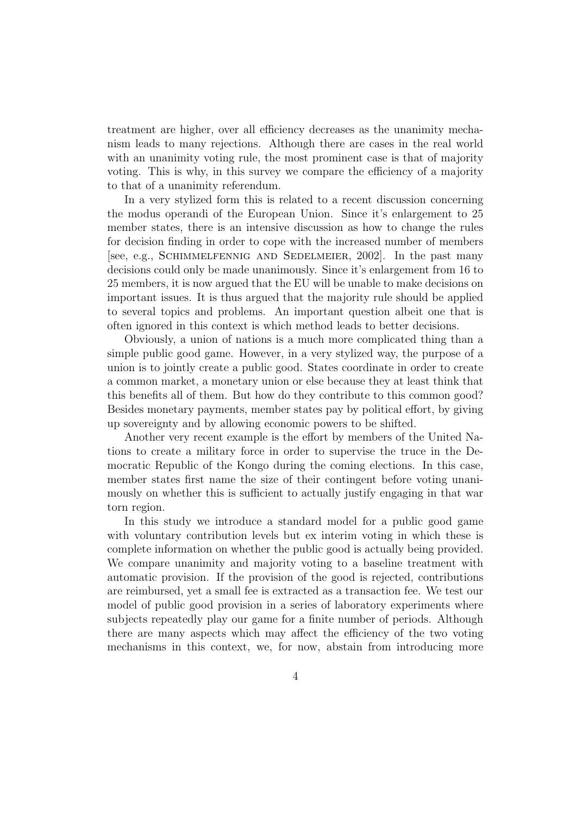treatment are higher, over all efficiency decreases as the unanimity mechanism leads to many rejections. Although there are cases in the real world with an unanimity voting rule, the most prominent case is that of majority voting. This is why, in this survey we compare the efficiency of a majority to that of a unanimity referendum.

In a very stylized form this is related to a recent discussion concerning the modus operandi of the European Union. Since it's enlargement to 25 member states, there is an intensive discussion as how to change the rules for decision finding in order to cope with the increased number of members [see, e.g., Schimmelfennig and Sedelmeier, 2002]. In the past many decisions could only be made unanimously. Since it's enlargement from 16 to 25 members, it is now argued that the EU will be unable to make decisions on important issues. It is thus argued that the majority rule should be applied to several topics and problems. An important question albeit one that is often ignored in this context is which method leads to better decisions.

Obviously, a union of nations is a much more complicated thing than a simple public good game. However, in a very stylized way, the purpose of a union is to jointly create a public good. States coordinate in order to create a common market, a monetary union or else because they at least think that this benefits all of them. But how do they contribute to this common good? Besides monetary payments, member states pay by political effort, by giving up sovereignty and by allowing economic powers to be shifted.

Another very recent example is the effort by members of the United Nations to create a military force in order to supervise the truce in the Democratic Republic of the Kongo during the coming elections. In this case, member states first name the size of their contingent before voting unanimously on whether this is sufficient to actually justify engaging in that war torn region.

In this study we introduce a standard model for a public good game with voluntary contribution levels but ex interim voting in which these is complete information on whether the public good is actually being provided. We compare unanimity and majority voting to a baseline treatment with automatic provision. If the provision of the good is rejected, contributions are reimbursed, yet a small fee is extracted as a transaction fee. We test our model of public good provision in a series of laboratory experiments where subjects repeatedly play our game for a finite number of periods. Although there are many aspects which may affect the efficiency of the two voting mechanisms in this context, we, for now, abstain from introducing more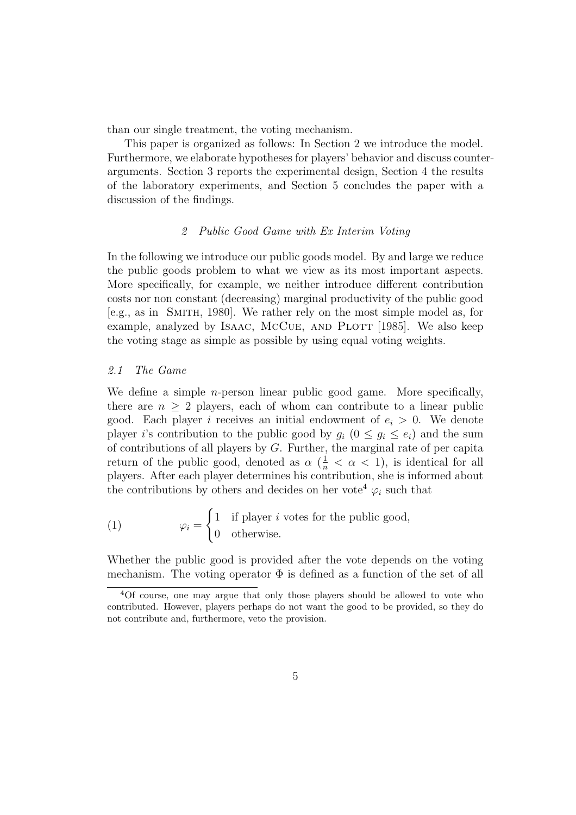than our single treatment, the voting mechanism.

This paper is organized as follows: In Section 2 we introduce the model. Furthermore, we elaborate hypotheses for players' behavior and discuss counterarguments. Section 3 reports the experimental design, Section 4 the results of the laboratory experiments, and Section 5 concludes the paper with a discussion of the findings.

# 2 Public Good Game with Ex Interim Voting

In the following we introduce our public goods model. By and large we reduce the public goods problem to what we view as its most important aspects. More specifically, for example, we neither introduce different contribution costs nor non constant (decreasing) marginal productivity of the public good [e.g., as in Smith, 1980]. We rather rely on the most simple model as, for example, analyzed by ISAAC, MCCUE, AND PLOTT [1985]. We also keep the voting stage as simple as possible by using equal voting weights.

#### 2.1 The Game

We define a simple *n*-person linear public good game. More specifically, there are  $n \geq 2$  players, each of whom can contribute to a linear public good. Each player i receives an initial endowment of  $e_i > 0$ . We denote player i's contribution to the public good by  $g_i$   $(0 \le g_i \le e_i)$  and the sum of contributions of all players by G. Further, the marginal rate of per capita return of the public good, denoted as  $\alpha \left( \frac{1}{n} < \alpha < 1 \right)$ , is identical for all players. After each player determines his contribution, she is informed about the contributions by others and decides on her vote<sup>4</sup>  $\varphi_i$  such that

(1) 
$$
\varphi_i = \begin{cases} 1 & \text{if player } i \text{ votes for the public good,} \\ 0 & \text{otherwise.} \end{cases}
$$

Whether the public good is provided after the vote depends on the voting mechanism. The voting operator  $\Phi$  is defined as a function of the set of all

<sup>4</sup>Of course, one may argue that only those players should be allowed to vote who contributed. However, players perhaps do not want the good to be provided, so they do not contribute and, furthermore, veto the provision.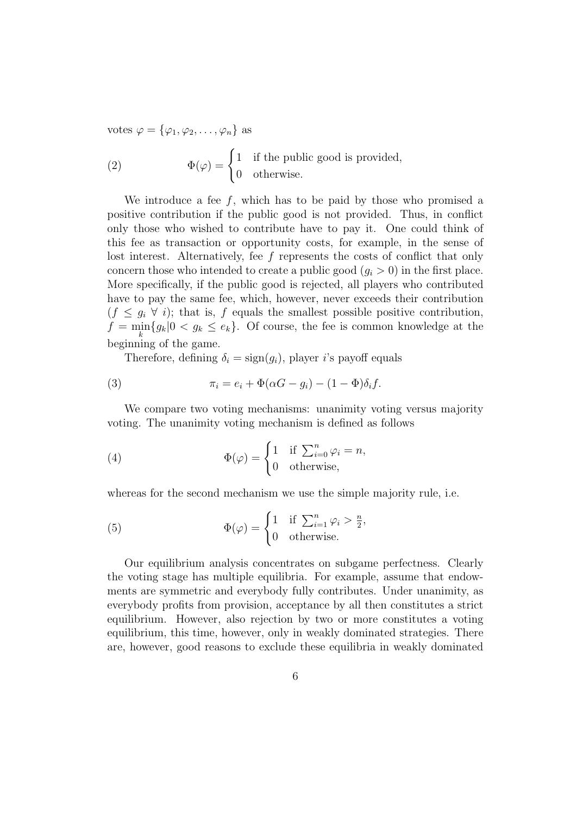votes  $\varphi = {\varphi_1, \varphi_2, \ldots, \varphi_n}$  as

(2) 
$$
\Phi(\varphi) = \begin{cases} 1 & \text{if the public good is provided,} \\ 0 & \text{otherwise.} \end{cases}
$$

We introduce a fee  $f$ , which has to be paid by those who promised a positive contribution if the public good is not provided. Thus, in conflict only those who wished to contribute have to pay it. One could think of this fee as transaction or opportunity costs, for example, in the sense of lost interest. Alternatively, fee f represents the costs of conflict that only concern those who intended to create a public good  $(q_i > 0)$  in the first place. More specifically, if the public good is rejected, all players who contributed have to pay the same fee, which, however, never exceeds their contribution  $(f \leq g_i \ \forall i)$ ; that is, f equals the smallest possible positive contribution,  $f = \min_k \{g_k | 0 < g_k \leq e_k\}.$  Of course, the fee is common knowledge at the beginning of the game.

Therefore, defining  $\delta_i = \text{sign}(g_i)$ , player i's payoff equals

(3) 
$$
\pi_i = e_i + \Phi(\alpha G - g_i) - (1 - \Phi)\delta_i f.
$$

We compare two voting mechanisms: unanimity voting versus majority voting. The unanimity voting mechanism is defined as follows

(4) 
$$
\Phi(\varphi) = \begin{cases} 1 & \text{if } \sum_{i=0}^{n} \varphi_i = n, \\ 0 & \text{otherwise,} \end{cases}
$$

whereas for the second mechanism we use the simple majority rule, i.e.

(5) 
$$
\Phi(\varphi) = \begin{cases} 1 & \text{if } \sum_{i=1}^{n} \varphi_i > \frac{n}{2}, \\ 0 & \text{otherwise.} \end{cases}
$$

Our equilibrium analysis concentrates on subgame perfectness. Clearly the voting stage has multiple equilibria. For example, assume that endowments are symmetric and everybody fully contributes. Under unanimity, as everybody profits from provision, acceptance by all then constitutes a strict equilibrium. However, also rejection by two or more constitutes a voting equilibrium, this time, however, only in weakly dominated strategies. There are, however, good reasons to exclude these equilibria in weakly dominated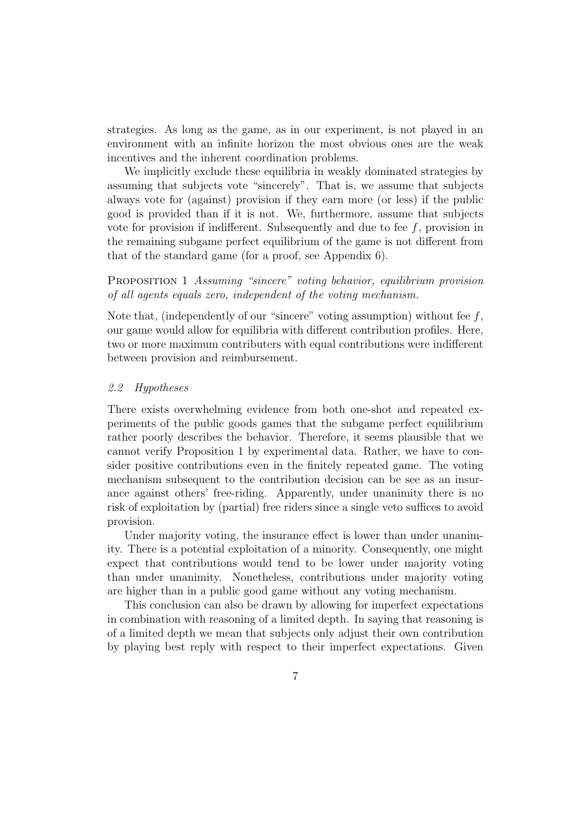strategies. As long as the game, as in our experiment, is not played in an environment with an infinite horizon the most obvious ones are the weak incentives and the inherent coordination problems.

We implicitly exclude these equilibria in weakly dominated strategies by assuming that subjects vote "sincerely". That is, we assume that subjects always vote for (against) provision if they earn more (or less) if the public good is provided than if it is not. We, furthermore, assume that subjects vote for provision if indifferent. Subsequently and due to fee  $f$ , provision in the remaining subgame perfect equilibrium of the game is not different from that of the standard game (for a proof, see Appendix 6).

Proposition 1 Assuming "sincere" voting behavior, equilibrium provision of all agents equals zero, independent of the voting mechanism.

Note that, (independently of our "sincere" voting assumption) without fee  $f$ , our game would allow for equilibria with different contribution profiles. Here, two or more maximum contributers with equal contributions were indifferent between provision and reimbursement.

#### 2.2 Hypotheses

There exists overwhelming evidence from both one-shot and repeated experiments of the public goods games that the subgame perfect equilibrium rather poorly describes the behavior. Therefore, it seems plausible that we cannot verify Proposition 1 by experimental data. Rather, we have to consider positive contributions even in the finitely repeated game. The voting mechanism subsequent to the contribution decision can be see as an insurance against others' free-riding. Apparently, under unanimity there is no risk of exploitation by (partial) free riders since a single veto suffices to avoid provision.

Under majority voting, the insurance effect is lower than under unanimity. There is a potential exploitation of a minority. Consequently, one might expect that contributions would tend to be lower under majority voting than under unanimity. Nonetheless, contributions under majority voting are higher than in a public good game without any voting mechanism.

This conclusion can also be drawn by allowing for imperfect expectations in combination with reasoning of a limited depth. In saying that reasoning is of a limited depth we mean that subjects only adjust their own contribution by playing best reply with respect to their imperfect expectations. Given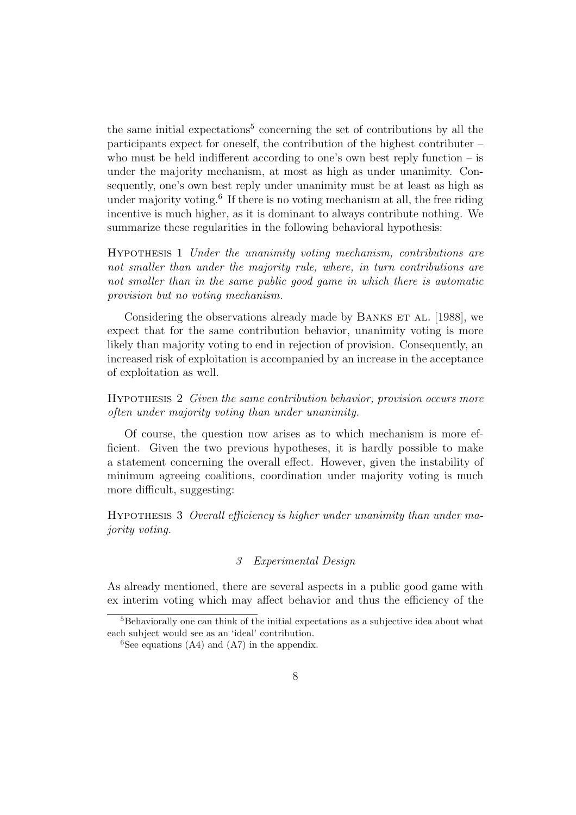the same initial expectations<sup>5</sup> concerning the set of contributions by all the participants expect for oneself, the contribution of the highest contributer – who must be held indifferent according to one's own best reply function  $-$  is under the majority mechanism, at most as high as under unanimity. Consequently, one's own best reply under unanimity must be at least as high as under majority voting.<sup>6</sup> If there is no voting mechanism at all, the free riding incentive is much higher, as it is dominant to always contribute nothing. We summarize these regularities in the following behavioral hypothesis:

Hypothesis 1 Under the unanimity voting mechanism, contributions are not smaller than under the majority rule, where, in turn contributions are not smaller than in the same public good game in which there is automatic provision but no voting mechanism.

Considering the observations already made by BANKS ET AL. [1988], we expect that for the same contribution behavior, unanimity voting is more likely than majority voting to end in rejection of provision. Consequently, an increased risk of exploitation is accompanied by an increase in the acceptance of exploitation as well.

# Hypothesis 2 Given the same contribution behavior, provision occurs more often under majority voting than under unanimity.

Of course, the question now arises as to which mechanism is more efficient. Given the two previous hypotheses, it is hardly possible to make a statement concerning the overall effect. However, given the instability of minimum agreeing coalitions, coordination under majority voting is much more difficult, suggesting:

Hypothesis 3 Overall efficiency is higher under unanimity than under majority voting.

# 3 Experimental Design

As already mentioned, there are several aspects in a public good game with ex interim voting which may affect behavior and thus the efficiency of the

<sup>&</sup>lt;sup>5</sup>Behaviorally one can think of the initial expectations as a subjective idea about what each subject would see as an 'ideal' contribution.

 ${}^{6}$ See equations (A4) and (A7) in the appendix.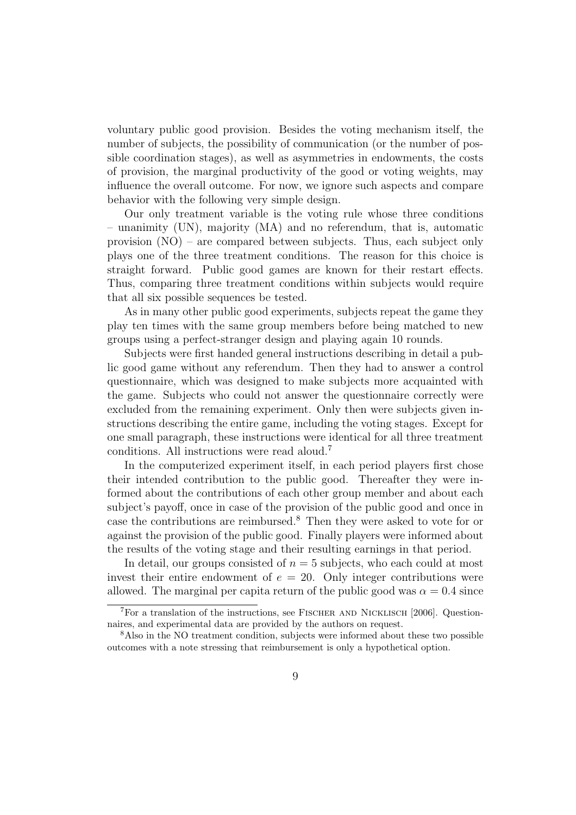voluntary public good provision. Besides the voting mechanism itself, the number of subjects, the possibility of communication (or the number of possible coordination stages), as well as asymmetries in endowments, the costs of provision, the marginal productivity of the good or voting weights, may influence the overall outcome. For now, we ignore such aspects and compare behavior with the following very simple design.

Our only treatment variable is the voting rule whose three conditions – unanimity (UN), majority (MA) and no referendum, that is, automatic provision  $(NO)$  – are compared between subjects. Thus, each subject only plays one of the three treatment conditions. The reason for this choice is straight forward. Public good games are known for their restart effects. Thus, comparing three treatment conditions within subjects would require that all six possible sequences be tested.

As in many other public good experiments, subjects repeat the game they play ten times with the same group members before being matched to new groups using a perfect-stranger design and playing again 10 rounds.

Subjects were first handed general instructions describing in detail a public good game without any referendum. Then they had to answer a control questionnaire, which was designed to make subjects more acquainted with the game. Subjects who could not answer the questionnaire correctly were excluded from the remaining experiment. Only then were subjects given instructions describing the entire game, including the voting stages. Except for one small paragraph, these instructions were identical for all three treatment conditions. All instructions were read aloud.<sup>7</sup>

In the computerized experiment itself, in each period players first chose their intended contribution to the public good. Thereafter they were informed about the contributions of each other group member and about each subject's payoff, once in case of the provision of the public good and once in case the contributions are reimbursed.<sup>8</sup> Then they were asked to vote for or against the provision of the public good. Finally players were informed about the results of the voting stage and their resulting earnings in that period.

In detail, our groups consisted of  $n = 5$  subjects, who each could at most invest their entire endowment of  $e = 20$ . Only integer contributions were allowed. The marginal per capita return of the public good was  $\alpha = 0.4$  since

<sup>&</sup>lt;sup>7</sup>For a translation of the instructions, see FISCHER AND NICKLISCH [2006]. Questionnaires, and experimental data are provided by the authors on request.

<sup>8</sup>Also in the NO treatment condition, subjects were informed about these two possible outcomes with a note stressing that reimbursement is only a hypothetical option.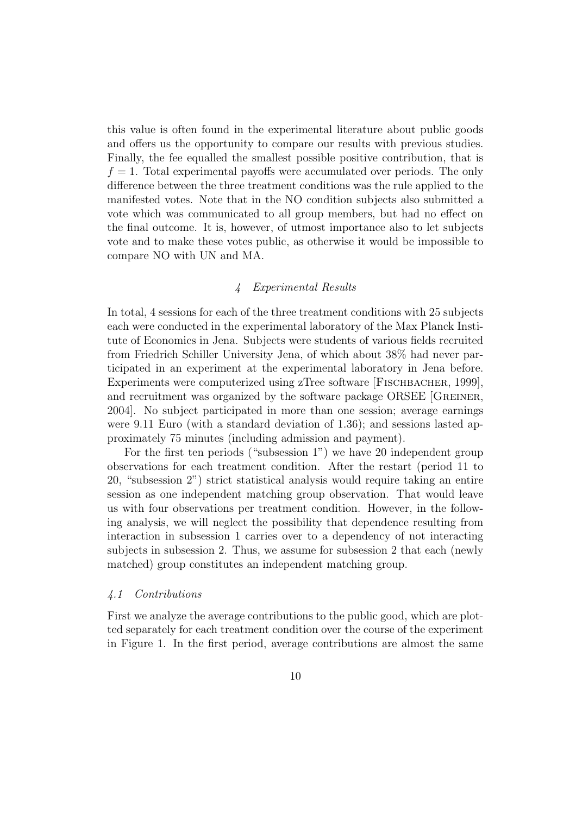this value is often found in the experimental literature about public goods and offers us the opportunity to compare our results with previous studies. Finally, the fee equalled the smallest possible positive contribution, that is  $f = 1$ . Total experimental payoffs were accumulated over periods. The only difference between the three treatment conditions was the rule applied to the manifested votes. Note that in the NO condition subjects also submitted a vote which was communicated to all group members, but had no effect on the final outcome. It is, however, of utmost importance also to let subjects vote and to make these votes public, as otherwise it would be impossible to compare NO with UN and MA.

# 4 Experimental Results

In total, 4 sessions for each of the three treatment conditions with 25 subjects each were conducted in the experimental laboratory of the Max Planck Institute of Economics in Jena. Subjects were students of various fields recruited from Friedrich Schiller University Jena, of which about 38% had never participated in an experiment at the experimental laboratory in Jena before. Experiments were computerized using zTree software [FISCHBACHER, 1999], and recruitment was organized by the software package ORSEE [GREINER, 2004]. No subject participated in more than one session; average earnings were 9.11 Euro (with a standard deviation of 1.36); and sessions lasted approximately 75 minutes (including admission and payment).

For the first ten periods ("subsession 1") we have 20 independent group observations for each treatment condition. After the restart (period 11 to 20, "subsession 2") strict statistical analysis would require taking an entire session as one independent matching group observation. That would leave us with four observations per treatment condition. However, in the following analysis, we will neglect the possibility that dependence resulting from interaction in subsession 1 carries over to a dependency of not interacting subjects in subsession 2. Thus, we assume for subsession 2 that each (newly matched) group constitutes an independent matching group.

#### 4.1 Contributions

First we analyze the average contributions to the public good, which are plotted separately for each treatment condition over the course of the experiment in Figure 1. In the first period, average contributions are almost the same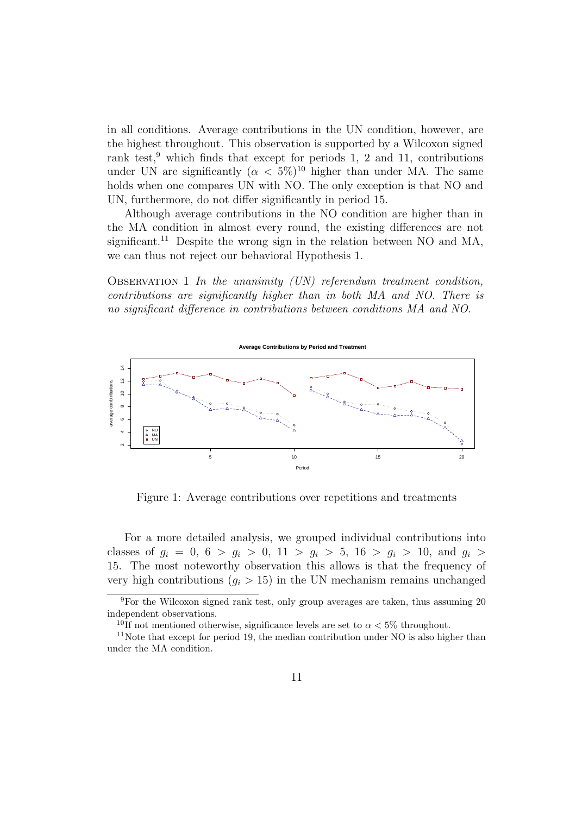in all conditions. Average contributions in the UN condition, however, are the highest throughout. This observation is supported by a Wilcoxon signed rank test,<sup>9</sup> which finds that except for periods 1, 2 and 11, contributions under UN are significantly  $(\alpha < 5\%)^{10}$  higher than under MA. The same holds when one compares UN with NO. The only exception is that NO and UN, furthermore, do not differ significantly in period 15.

Although average contributions in the NO condition are higher than in the MA condition in almost every round, the existing differences are not significant.<sup>11</sup> Despite the wrong sign in the relation between NO and MA, we can thus not reject our behavioral Hypothesis 1.

OBSERVATION 1 In the unanimity  $(UN)$  referendum treatment condition, contributions are significantly higher than in both MA and NO. There is no significant difference in contributions between conditions MA and NO.



Figure 1: Average contributions over repetitions and treatments

For a more detailed analysis, we grouped individual contributions into classes of  $g_i = 0, 6 > g_i > 0, 11 > g_i > 5, 16 > g_i > 10,$  and  $g_i >$ 15. The most noteworthy observation this allows is that the frequency of very high contributions  $(q_i > 15)$  in the UN mechanism remains unchanged

<sup>9</sup>For the Wilcoxon signed rank test, only group averages are taken, thus assuming 20 independent observations.

<sup>&</sup>lt;sup>10</sup>If not mentioned otherwise, significance levels are set to  $\alpha < 5\%$  throughout.

 $11$ Note that except for period 19, the median contribution under NO is also higher than under the MA condition.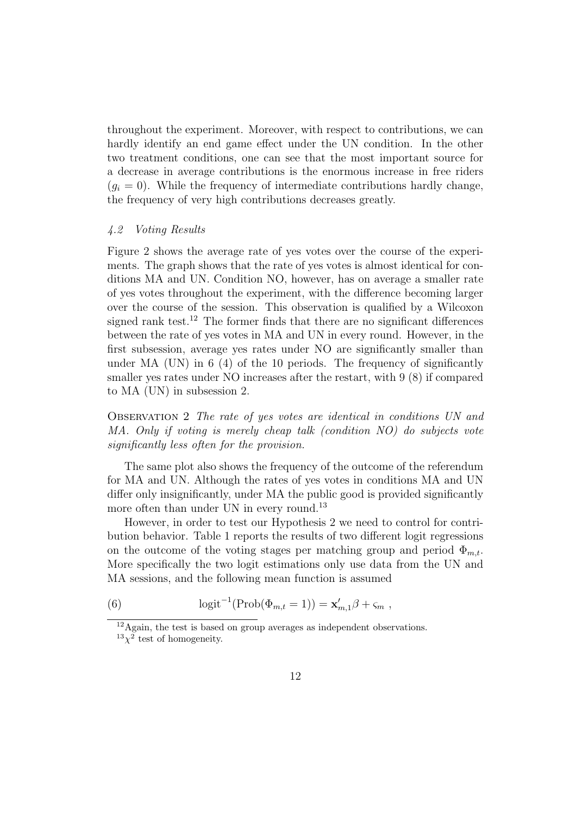throughout the experiment. Moreover, with respect to contributions, we can hardly identify an end game effect under the UN condition. In the other two treatment conditions, one can see that the most important source for a decrease in average contributions is the enormous increase in free riders  $(q_i = 0)$ . While the frequency of intermediate contributions hardly change, the frequency of very high contributions decreases greatly.

#### 4.2 Voting Results

Figure 2 shows the average rate of yes votes over the course of the experiments. The graph shows that the rate of yes votes is almost identical for conditions MA and UN. Condition NO, however, has on average a smaller rate of yes votes throughout the experiment, with the difference becoming larger over the course of the session. This observation is qualified by a Wilcoxon signed rank test.<sup>12</sup> The former finds that there are no significant differences between the rate of yes votes in MA and UN in every round. However, in the first subsession, average yes rates under NO are significantly smaller than under MA  $(UN)$  in 6 (4) of the 10 periods. The frequency of significantly smaller yes rates under NO increases after the restart, with 9 (8) if compared to MA (UN) in subsession 2.

Observation 2 The rate of yes votes are identical in conditions UN and MA. Only if voting is merely cheap talk (condition NO) do subjects vote significantly less often for the provision.

The same plot also shows the frequency of the outcome of the referendum for MA and UN. Although the rates of yes votes in conditions MA and UN differ only insignificantly, under MA the public good is provided significantly more often than under UN in every round.<sup>13</sup>

However, in order to test our Hypothesis 2 we need to control for contribution behavior. Table 1 reports the results of two different logit regressions on the outcome of the voting stages per matching group and period  $\Phi_{m,t}$ . More specifically the two logit estimations only use data from the UN and MA sessions, and the following mean function is assumed

(6) 
$$
\logit^{-1}(\text{Prob}(\Phi_{m,t} = 1)) = \mathbf{x}'_{m,1}\beta + \varsigma_m,
$$

<sup>12</sup>Again, the test is based on group averages as independent observations.  $13\chi^2$  test of homogeneity.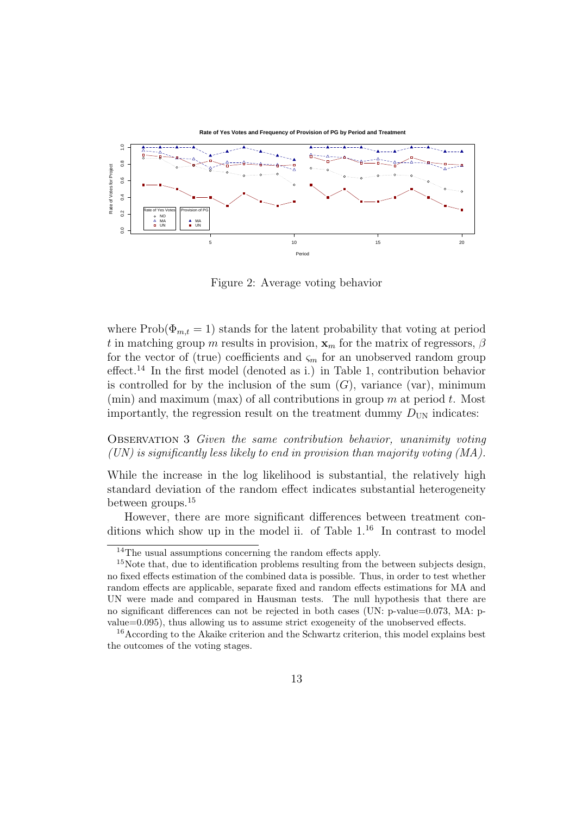

Figure 2: Average voting behavior

where  $\text{Prob}(\Phi_{m,t} = 1)$  stands for the latent probability that voting at period t in matching group m results in provision,  $\mathbf{x}_m$  for the matrix of regressors,  $\beta$ for the vector of (true) coefficients and  $\varsigma_m$  for an unobserved random group effect.<sup>14</sup> In the first model (denoted as i.) in Table 1, contribution behavior is controlled for by the inclusion of the sum  $(G)$ , variance (var), minimum (min) and maximum (max) of all contributions in group  $m$  at period  $t$ . Most importantly, the regression result on the treatment dummy  $D_{UN}$  indicates:

Observation 3 Given the same contribution behavior, unanimity voting (UN) is significantly less likely to end in provision than majority voting (MA).

While the increase in the log likelihood is substantial, the relatively high standard deviation of the random effect indicates substantial heterogeneity between groups.<sup>15</sup>

However, there are more significant differences between treatment conditions which show up in the model ii. of Table  $1<sup>16</sup>$  In contrast to model

<sup>&</sup>lt;sup>14</sup>The usual assumptions concerning the random effects apply.

 $15$ Note that, due to identification problems resulting from the between subjects design, no fixed effects estimation of the combined data is possible. Thus, in order to test whether random effects are applicable, separate fixed and random effects estimations for MA and UN were made and compared in Hausman tests. The null hypothesis that there are no significant differences can not be rejected in both cases (UN: p-value=0.073, MA: pvalue=0.095), thus allowing us to assume strict exogeneity of the unobserved effects.

<sup>&</sup>lt;sup>16</sup>According to the Akaike criterion and the Schwartz criterion, this model explains best the outcomes of the voting stages.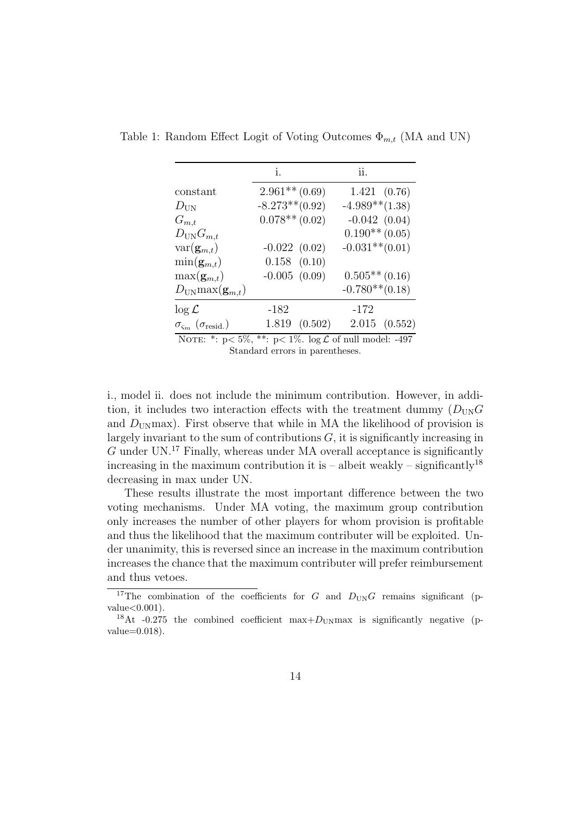|                                                     | i.                | ii.                                                        |
|-----------------------------------------------------|-------------------|------------------------------------------------------------|
| constant                                            | $2.961**$ (0.69)  | 1.421(0.76)                                                |
| $D_{\text{UN}}$                                     | $-8.273**$ (0.92) | $-4.989**$ $(1.38)$                                        |
| $G_{m,t}$                                           | $0.078**$ (0.02)  | $-0.042(0.04)$                                             |
| $D_{\text{UN}}G_{m,t}$                              |                   | $0.190**$ (0.05)                                           |
| $var(\mathbf{g}_{m,t})$                             | $-0.022(0.02)$    | $-0.031**$ (0.01)                                          |
| $\min(\mathbf{g}_{m,t})$                            | $0.158$ $(0.10)$  |                                                            |
| $\max(\mathbf{g}_{m,t})$                            | $-0.005$ $(0.09)$ | $0.505**$ (0.16)                                           |
| $D_{\text{UN}} \max(\mathbf{g}_{m,t})$              |                   | $-0.780**$ (0.18)                                          |
| $\log \mathcal{L}$                                  | $-182$            | $-172$                                                     |
| $\sigma_{\varsigma_m}$ ( $\sigma_{\text{resid.}}$ ) | 1.819(0.502)      | 2.015(0.552)                                               |
|                                                     |                   | NOTE: *: $n < 5\%$ **: $n < 1\%$ log C of pull model: -497 |

Table 1: Random Effect Logit of Voting Outcomes  $\Phi_{m,t}$  (MA and UN)

 $5\%$ , \*\*:  $p< 1\%$ .  $\log L$  of null model: -497 Standard errors in parentheses.

i., model ii. does not include the minimum contribution. However, in addition, it includes two interaction effects with the treatment dummy  $(D_{UN}G)$ and  $D_{\text{UN}}$  max). First observe that while in MA the likelihood of provision is largely invariant to the sum of contributions  $G$ , it is significantly increasing in  $G$  under UN.<sup>17</sup> Finally, whereas under MA overall acceptance is significantly increasing in the maximum contribution it is – albeit weakly – significantly<sup>18</sup> decreasing in max under UN.

These results illustrate the most important difference between the two voting mechanisms. Under MA voting, the maximum group contribution only increases the number of other players for whom provision is profitable and thus the likelihood that the maximum contributer will be exploited. Under unanimity, this is reversed since an increase in the maximum contribution increases the chance that the maximum contributer will prefer reimbursement and thus vetoes.

<sup>&</sup>lt;sup>17</sup>The combination of the coefficients for G and  $D_{UN}G$  remains significant (p $value < 0.001$ ).

<sup>&</sup>lt;sup>18</sup>At -0.275 the combined coefficient max $+D_{\text{UN}}$  max is significantly negative (p $value=0.018$ ).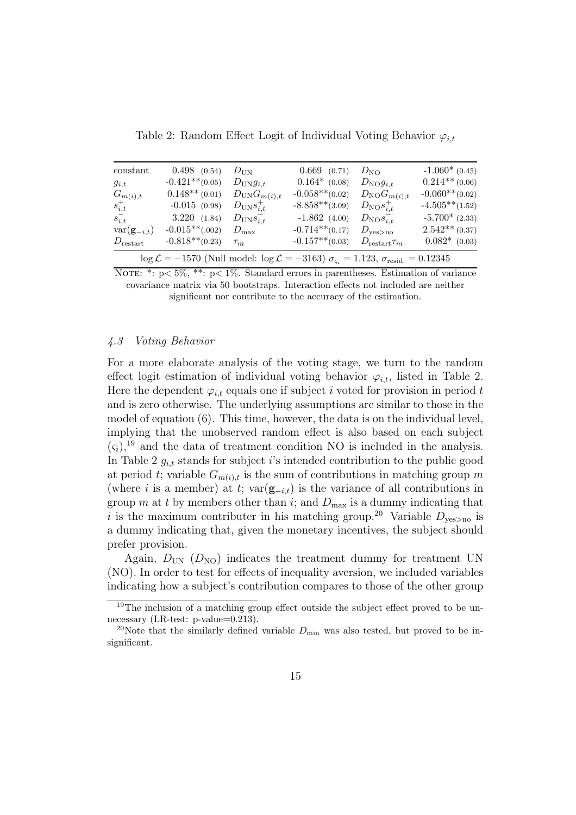| constant                                                                      | $0.498$ $(0.54)$  | $D_{\text{IIN}}$          | $0.669$ $(0.71)$  | $D_{\text{NO}}$               | $-1.060*(0.45)$   |  |
|-------------------------------------------------------------------------------|-------------------|---------------------------|-------------------|-------------------------------|-------------------|--|
| $g_{i,t}$                                                                     | $-0.421**$ (0.05) | $D_{\text{UN}}g_{i,t}$    | $0.164*$ (0.08)   | $D_{\text{NO}}g_{i,t}$        | $0.214**$ (0.06)  |  |
| $G_{m(i),t}$                                                                  | $0.148**$ (0.01)  | $D_{\text{UN}}G_{m(i),t}$ | $-0.058**$ (0.02) | $D_{\text{NO}}G_{m(i),t}$     | $-0.060**$ (0.02) |  |
| $s_{i,t}^+$                                                                   | $-0.015(0.98)$    | $D_{\text{UN}}s_{i,t}^+$  | $-8.858**$ (3.09) | $D_{\text{NO}}s_{i,t}^+$      | $-4.505**$ (1.52) |  |
| $s_{i,t}^-$                                                                   | 3.220(1.84)       | $D_{\text{UN}}s_{i,t}^-$  | $-1.862(4.00)$    | $D_{\text{NO}} s_{i,t}^-$     | $-5.700*(2.33)$   |  |
| $var(\mathbf{g}_{-i,t})$                                                      | $-0.015**(.002)$  | $D_{\max}$                | $-0.714**$ (0.17) | $D_{\text{yes}>\text{no}}$    | $2.542**$ (0.37)  |  |
| $D_{\rm restart}$                                                             | $-0.818**$ (0.23) | $\tau_m$                  | $-0.157**$ (0.03) | $D_{\mathrm{restart}} \tau_m$ | $0.082*$ (0.03)   |  |
| $\log \theta = 1570$ (Null model, $\log \theta = 9169$ ) = 1.199 =<br>0.1994E |                   |                           |                   |                               |                   |  |

Table 2: Random Effect Logit of Individual Voting Behavior  $\varphi_{i,t}$ 

 $\log \mathcal{L} = -1570$  (Null model:  $\log \mathcal{L} = -3163$ )  $\sigma_{\varsigma_i} = 1.123$ ,  $\sigma_{\rm{resid.}} = 0.12345$ 

NOTE: \*:  $p \leq 5\%$ , \*\*:  $p \leq 1\%$ . Standard errors in parentheses. Estimation of variance covariance matrix via 50 bootstraps. Interaction effects not included are neither significant nor contribute to the accuracy of the estimation.

#### 4.3 Voting Behavior

For a more elaborate analysis of the voting stage, we turn to the random effect logit estimation of individual voting behavior  $\varphi_{i,t}$ , listed in Table 2. Here the dependent  $\varphi_{i,t}$  equals one if subject i voted for provision in period t and is zero otherwise. The underlying assumptions are similar to those in the model of equation  $(6)$ . This time, however, the data is on the individual level, implying that the unobserved random effect is also based on each subject  $(\varsigma_i)$ ,<sup>19</sup> and the data of treatment condition NO is included in the analysis. In Table 2  $g_{i,t}$  stands for subject i's intended contribution to the public good at period t; variable  $G_{m(i),t}$  is the sum of contributions in matching group m (where i is a member) at t; var $(g_{-i,t})$  is the variance of all contributions in group m at t by members other than i; and  $D_{\text{max}}$  is a dummy indicating that i is the maximum contributer in his matching group.<sup>20</sup> Variable  $D_{\text{ves}\geq\text{no}}$  is a dummy indicating that, given the monetary incentives, the subject should prefer provision.

Again,  $D_{UN}$  ( $D_{NO}$ ) indicates the treatment dummy for treatment UN (NO). In order to test for effects of inequality aversion, we included variables indicating how a subject's contribution compares to those of the other group

<sup>&</sup>lt;sup>19</sup>The inclusion of a matching group effect outside the subject effect proved to be unnecessary (LR-test: p-value=0.213).

<sup>&</sup>lt;sup>20</sup>Note that the similarly defined variable  $D_{\min}$  was also tested, but proved to be insignificant.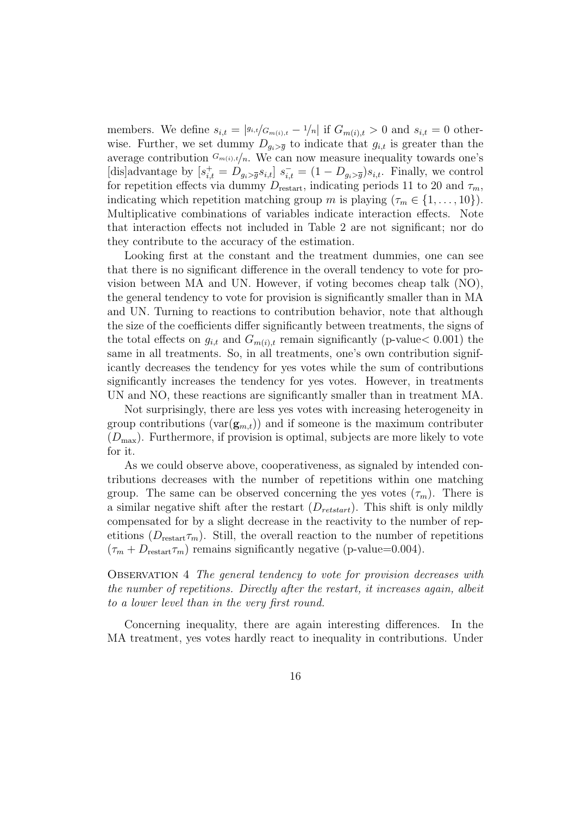members. We define  $s_{i,t} = |s_{i,t}/G_{m(i),t} - 1/n|$  if  $G_{m(i),t} > 0$  and  $s_{i,t} = 0$  otherwise. Further, we set dummy  $D_{q_i>q}$  to indicate that  $g_{i,t}$  is greater than the average contribution  $G_{m(i),t}/n$ . We can now measure inequality towards one's [dis]advantage by  $[s_{i,t}^+ = D_{g_i > \bar{g}} s_{i,t}] s_{i,t}^- = (1 - D_{g_i > \bar{g}}) s_{i,t}$ . Finally, we control for repetition effects via dummy  $D_{\text{restart}}$ , indicating periods 11 to 20 and  $\tau_m$ , indicating which repetition matching group m is playing  $(\tau_m \in \{1, \ldots, 10\})$ . Multiplicative combinations of variables indicate interaction effects. Note that interaction effects not included in Table 2 are not significant; nor do they contribute to the accuracy of the estimation.

Looking first at the constant and the treatment dummies, one can see that there is no significant difference in the overall tendency to vote for provision between MA and UN. However, if voting becomes cheap talk (NO), the general tendency to vote for provision is significantly smaller than in MA and UN. Turning to reactions to contribution behavior, note that although the size of the coefficients differ significantly between treatments, the signs of the total effects on  $g_{i,t}$  and  $G_{m(i),t}$  remain significantly (p-value  $0.001$ ) the same in all treatments. So, in all treatments, one's own contribution significantly decreases the tendency for yes votes while the sum of contributions significantly increases the tendency for yes votes. However, in treatments UN and NO, these reactions are significantly smaller than in treatment MA.

Not surprisingly, there are less yes votes with increasing heterogeneity in group contributions ( $var(g_{m,t})$ ) and if someone is the maximum contributer  $(D_{\text{max}})$ . Furthermore, if provision is optimal, subjects are more likely to vote for it.

As we could observe above, cooperativeness, as signaled by intended contributions decreases with the number of repetitions within one matching group. The same can be observed concerning the yes votes  $(\tau_m)$ . There is a similar negative shift after the restart  $(D_{retstart})$ . This shift is only mildly compensated for by a slight decrease in the reactivity to the number of repetitions ( $D_{\text{restart}}\tau_m$ ). Still, the overall reaction to the number of repetitions  $(\tau_m + D_{\text{restart}} \tau_m)$  remains significantly negative (p-value=0.004).

# Observation 4 The general tendency to vote for provision decreases with the number of repetitions. Directly after the restart, it increases again, albeit to a lower level than in the very first round.

Concerning inequality, there are again interesting differences. In the MA treatment, yes votes hardly react to inequality in contributions. Under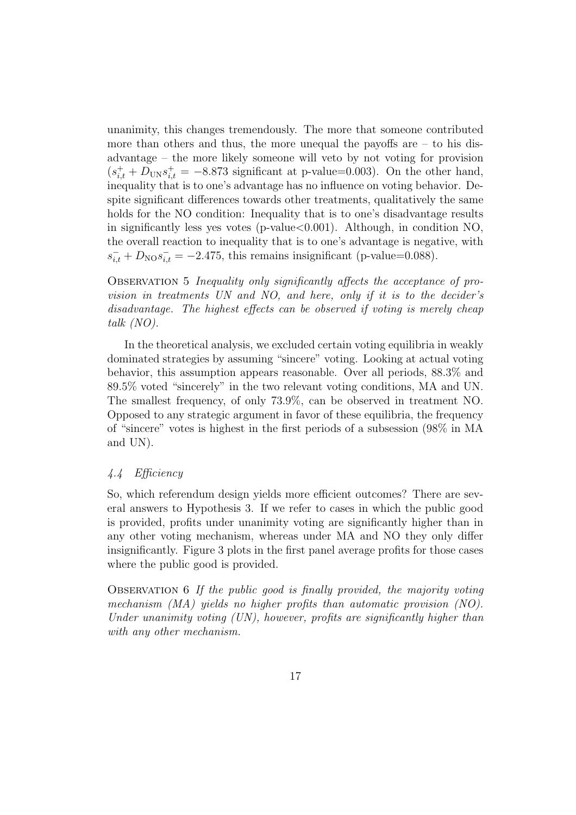unanimity, this changes tremendously. The more that someone contributed more than others and thus, the more unequal the payoffs are  $-$  to his disadvantage – the more likely someone will veto by not voting for provision  $(s_{i,t}^+ + D_{UN}s_{i,t}^+ = -8.873$  significant at p-value=0.003). On the other hand, inequality that is to one's advantage has no influence on voting behavior. Despite significant differences towards other treatments, qualitatively the same holds for the NO condition: Inequality that is to one's disadvantage results in significantly less yes votes (p-value $<0.001$ ). Although, in condition NO, the overall reaction to inequality that is to one's advantage is negative, with  $s_{i,t}^- + D_{\text{NO}} s_{i,t}^- = -2.475$ , this remains insignificant (p-value=0.088).

Observation 5 Inequality only significantly affects the acceptance of provision in treatments UN and NO, and here, only if it is to the decider's disadvantage. The highest effects can be observed if voting is merely cheap talk (NO).

In the theoretical analysis, we excluded certain voting equilibria in weakly dominated strategies by assuming "sincere" voting. Looking at actual voting behavior, this assumption appears reasonable. Over all periods, 88.3% and 89.5% voted "sincerely" in the two relevant voting conditions, MA and UN. The smallest frequency, of only 73.9%, can be observed in treatment NO. Opposed to any strategic argument in favor of these equilibria, the frequency of "sincere" votes is highest in the first periods of a subsession (98% in MA and UN).

# 4.4 Efficiency

So, which referendum design yields more efficient outcomes? There are several answers to Hypothesis 3. If we refer to cases in which the public good is provided, profits under unanimity voting are significantly higher than in any other voting mechanism, whereas under MA and NO they only differ insignificantly. Figure 3 plots in the first panel average profits for those cases where the public good is provided.

Observation 6 If the public good is finally provided, the majority voting mechanism (MA) yields no higher profits than automatic provision (NO). Under unanimity voting (UN), however, profits are significantly higher than with any other mechanism.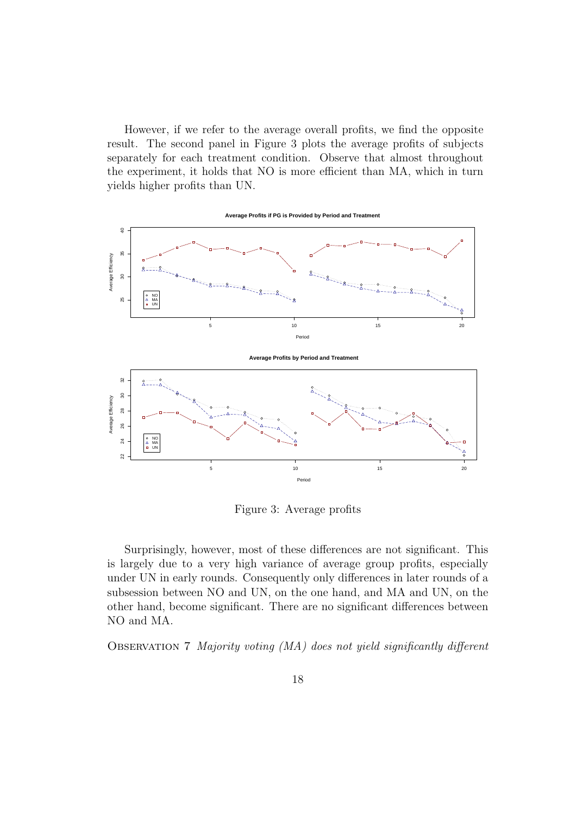However, if we refer to the average overall profits, we find the opposite result. The second panel in Figure 3 plots the average profits of subjects separately for each treatment condition. Observe that almost throughout the experiment, it holds that NO is more efficient than MA, which in turn yields higher profits than UN.



Figure 3: Average profits

Surprisingly, however, most of these differences are not significant. This is largely due to a very high variance of average group profits, especially under UN in early rounds. Consequently only differences in later rounds of a subsession between NO and UN, on the one hand, and MA and UN, on the other hand, become significant. There are no significant differences between NO and MA.

Observation 7 Majority voting (MA) does not yield significantly different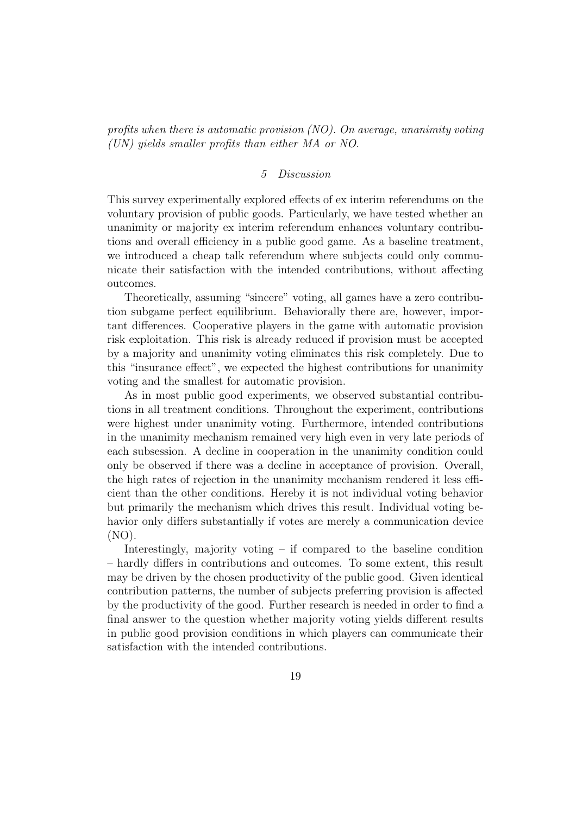profits when there is automatic provision (NO). On average, unanimity voting (UN) yields smaller profits than either MA or NO.

## 5 Discussion

This survey experimentally explored effects of ex interim referendums on the voluntary provision of public goods. Particularly, we have tested whether an unanimity or majority ex interim referendum enhances voluntary contributions and overall efficiency in a public good game. As a baseline treatment, we introduced a cheap talk referendum where subjects could only communicate their satisfaction with the intended contributions, without affecting outcomes.

Theoretically, assuming "sincere" voting, all games have a zero contribution subgame perfect equilibrium. Behaviorally there are, however, important differences. Cooperative players in the game with automatic provision risk exploitation. This risk is already reduced if provision must be accepted by a majority and unanimity voting eliminates this risk completely. Due to this "insurance effect", we expected the highest contributions for unanimity voting and the smallest for automatic provision.

As in most public good experiments, we observed substantial contributions in all treatment conditions. Throughout the experiment, contributions were highest under unanimity voting. Furthermore, intended contributions in the unanimity mechanism remained very high even in very late periods of each subsession. A decline in cooperation in the unanimity condition could only be observed if there was a decline in acceptance of provision. Overall, the high rates of rejection in the unanimity mechanism rendered it less efficient than the other conditions. Hereby it is not individual voting behavior but primarily the mechanism which drives this result. Individual voting behavior only differs substantially if votes are merely a communication device (NO).

Interestingly, majority voting – if compared to the baseline condition – hardly differs in contributions and outcomes. To some extent, this result may be driven by the chosen productivity of the public good. Given identical contribution patterns, the number of subjects preferring provision is affected by the productivity of the good. Further research is needed in order to find a final answer to the question whether majority voting yields different results in public good provision conditions in which players can communicate their satisfaction with the intended contributions.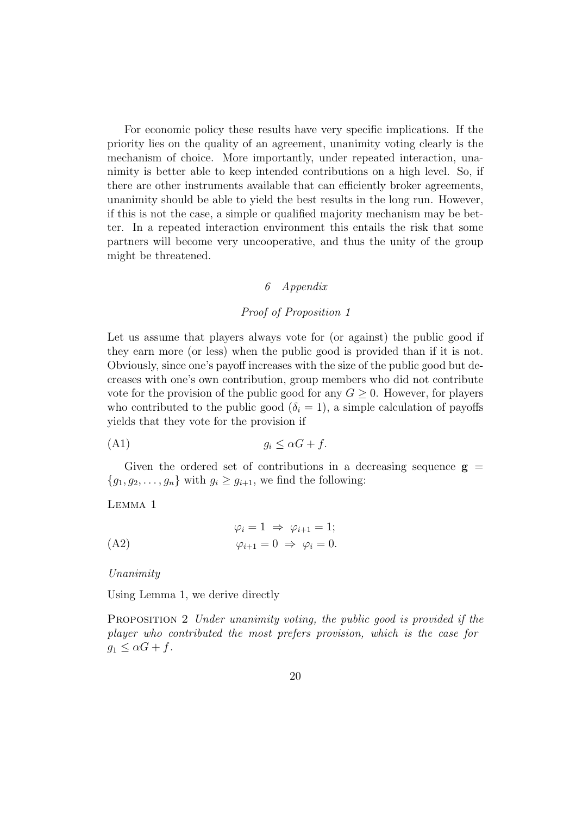For economic policy these results have very specific implications. If the priority lies on the quality of an agreement, unanimity voting clearly is the mechanism of choice. More importantly, under repeated interaction, unanimity is better able to keep intended contributions on a high level. So, if there are other instruments available that can efficiently broker agreements, unanimity should be able to yield the best results in the long run. However, if this is not the case, a simple or qualified majority mechanism may be better. In a repeated interaction environment this entails the risk that some partners will become very uncooperative, and thus the unity of the group might be threatened.

# 6 Appendix

# Proof of Proposition 1

Let us assume that players always vote for (or against) the public good if they earn more (or less) when the public good is provided than if it is not. Obviously, since one's payoff increases with the size of the public good but decreases with one's own contribution, group members who did not contribute vote for the provision of the public good for any  $G \geq 0$ . However, for players who contributed to the public good  $(\delta_i = 1)$ , a simple calculation of payoffs yields that they vote for the provision if

$$
(A1) \t\t g_i \leq \alpha G + f.
$$

Given the ordered set of contributions in a decreasing sequence  $g =$  ${g_1, g_2, \ldots, g_n}$  with  $g_i \ge g_{i+1}$ , we find the following:

#### Lemma 1

$$
\varphi_i = 1 \Rightarrow \varphi_{i+1} = 1;
$$
  
(A2) 
$$
\varphi_{i+1} = 0 \Rightarrow \varphi_i = 0.
$$

#### Unanimity

Using Lemma 1, we derive directly

PROPOSITION 2 Under unanimity voting, the public good is provided if the player who contributed the most prefers provision, which is the case for  $g_1 \leq \alpha G + f$ .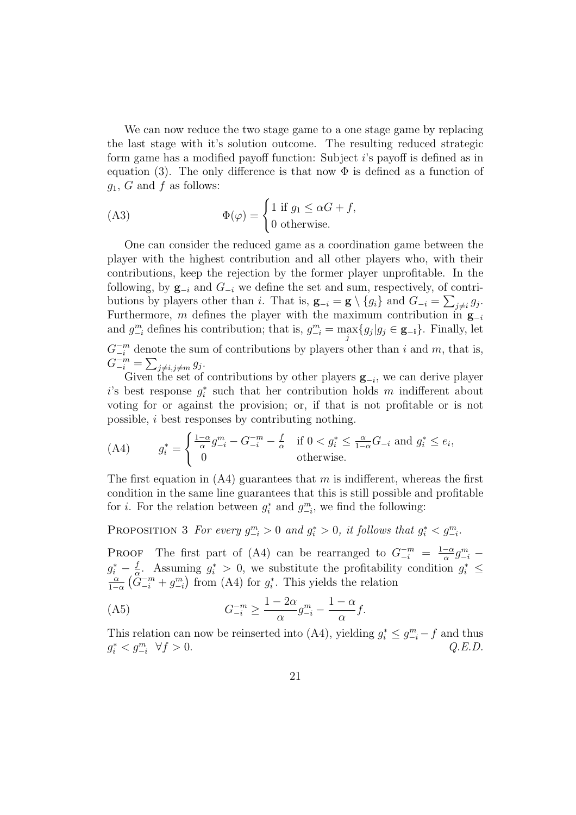We can now reduce the two stage game to a one stage game by replacing the last stage with it's solution outcome. The resulting reduced strategic form game has a modified payoff function: Subject i's payoff is defined as in equation (3). The only difference is that now  $\Phi$  is defined as a function of  $g_1, G$  and f as follows:

(A3) 
$$
\Phi(\varphi) = \begin{cases} 1 \text{ if } g_1 \leq \alpha G + f, \\ 0 \text{ otherwise.} \end{cases}
$$

One can consider the reduced game as a coordination game between the player with the highest contribution and all other players who, with their contributions, keep the rejection by the former player unprofitable. In the following, by  $\mathbf{g}_{-i}$  and  $G_{-i}$  we define the set and sum, respectively, of contributions by players other than *i*. That is,  $\mathbf{g}_{-i} = \mathbf{g} \setminus \{g_i\}$  and  $G_{-i} = \sum_{j \neq i} g_j$ . Furthermore, m defines the player with the maximum contribution in  $\mathbf{g}_{-i}$ and  $g_{-i}^m$  defines his contribution; that is,  $g_{-i}^m = \max_j \{g_j | g_j \in \mathbf{g}_{-i}\}\.$  Finally, let  $G_{-i}^{-m}$  denote the sum of contributions by players other than i and m, that is, .

$$
G_{-i}^{-m} = \sum_{j \neq i, j \neq m} g_j
$$

Given the set of contributions by other players  $\mathbf{g}_{-i}$ , we can derive player i's best response  $g_i^*$  such that her contribution holds m indifferent about voting for or against the provision; or, if that is not profitable or is not possible, i best responses by contributing nothing.

$$
\text{(A4)} \qquad g_i^* = \begin{cases} \frac{1-\alpha}{\alpha} g_{-i}^m - G_{-i}^{-m} - \frac{f}{\alpha} & \text{if } 0 < g_i^* \le \frac{\alpha}{1-\alpha} G_{-i} \text{ and } g_i^* \le e_i, \\ 0 & \text{otherwise.} \end{cases}
$$

The first equation in  $(A4)$  guarantees that m is indifferent, whereas the first condition in the same line guarantees that this is still possible and profitable for *i*. For the relation between  $g_i^*$  and  $g_{-i}^m$ , we find the following:

PROPOSITION 3 For every  $g_{-i}^m > 0$  and  $g_i^* > 0$ , it follows that  $g_i^* < g_{-i}^m$ .

**PROOF** The first part of (A4) can be rearranged to  $G_{-i}^{-m} = \frac{1-\alpha}{\alpha}$  $\frac{-\alpha}{\alpha}g^m_{-i}$  –  $g_i^* - \frac{f}{a}$  $a_i^* - \frac{f}{\alpha}$ . Assuming  $g_i^* > 0$ , we substitute the profitability condition  $g_i^* \leq$  $1-\alpha$ ¡  $\ddot{G}^{-m}_{-i} + g^{m}_{-i}$ ll<br>\ from  $(A4)$  for  $g_i^*$ . This yields the relation

$$
(A5) \tG-i-m \ge \frac{1-2\alpha}{\alpha} g-im - \frac{1-\alpha}{\alpha} f.
$$

This relation can now be reinserted into (A4), yielding  $g_i^* \leq g_{-i}^m - f$  and thus  $g_i^* < g_{-i}^m \ \ \forall f > 0.$  Q.E.D.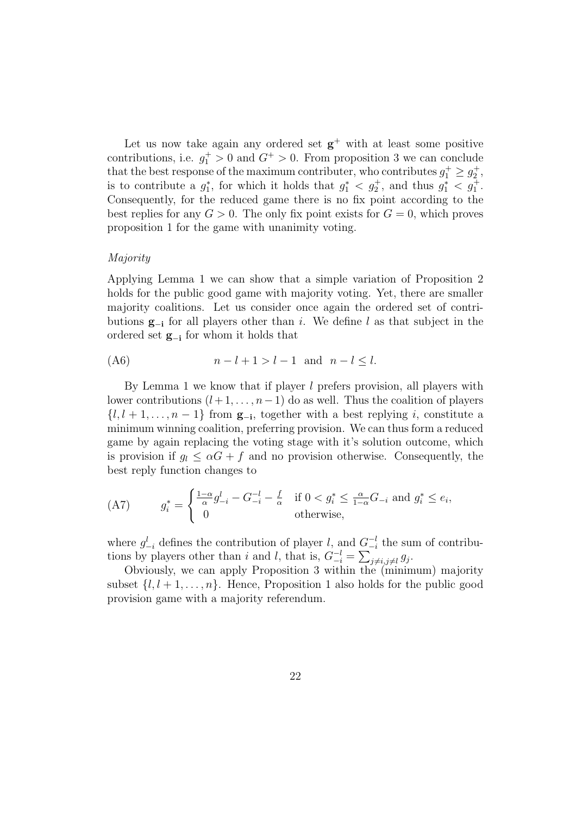Let us now take again any ordered set  $g^+$  with at least some positive contributions, i.e.  $g_1^+ > 0$  and  $G^+ > 0$ . From proposition 3 we can conclude that the best response of the maximum contributer, who contributes  $g_1^+ \geq g_2^+$ , is to contribute a  $g_1^*$ , for which it holds that  $g_1^* < g_2^+$ , and thus  $g_1^* < g_1^+$ . Consequently, for the reduced game there is no fix point according to the best replies for any  $G > 0$ . The only fix point exists for  $G = 0$ , which proves proposition 1 for the game with unanimity voting.

#### Majority

Applying Lemma 1 we can show that a simple variation of Proposition 2 holds for the public good game with majority voting. Yet, there are smaller majority coalitions. Let us consider once again the ordered set of contributions g−<sup>i</sup> for all players other than i. We define l as that subject in the ordered set g−<sup>i</sup> for whom it holds that

$$
(A6) \qquad \qquad n-l+1>l-1 \quad \text{and} \quad n-l \leq l.
$$

By Lemma 1 we know that if player  $l$  prefers provision, all players with lower contributions  $(l + 1, \ldots, n-1)$  do as well. Thus the coalition of players  $\{l, l + 1, \ldots, n - 1\}$  from  $\mathbf{g}_{-i}$ , together with a best replying i, constitute a minimum winning coalition, preferring provision. We can thus form a reduced game by again replacing the voting stage with it's solution outcome, which is provision if  $g_l \leq \alpha G + f$  and no provision otherwise. Consequently, the best reply function changes to

(A7) 
$$
g_i^* = \begin{cases} \frac{1-\alpha}{\alpha}g_{-i}^l - G_{-i}^{-l} - \frac{f}{\alpha} & \text{if } 0 < g_i^* \le \frac{\alpha}{1-\alpha}G_{-i} \text{ and } g_i^* \le e_i, \\ 0 & \text{otherwise,} \end{cases}
$$

where  $g_{-i}^l$  defines the contribution of player l, and  $G_{-i}^{-l}$  $\frac{-l}{-i}$  the sum of contributions by players other than i and l, that is,  $G_{-i}^{-l} =$  $\overline{a}$  $_{j\neq i,j\neq l} g_j.$ 

Obviously, we can apply Proposition 3 within the (minimum) majority subset  $\{l, l + 1, \ldots, n\}$ . Hence, Proposition 1 also holds for the public good provision game with a majority referendum.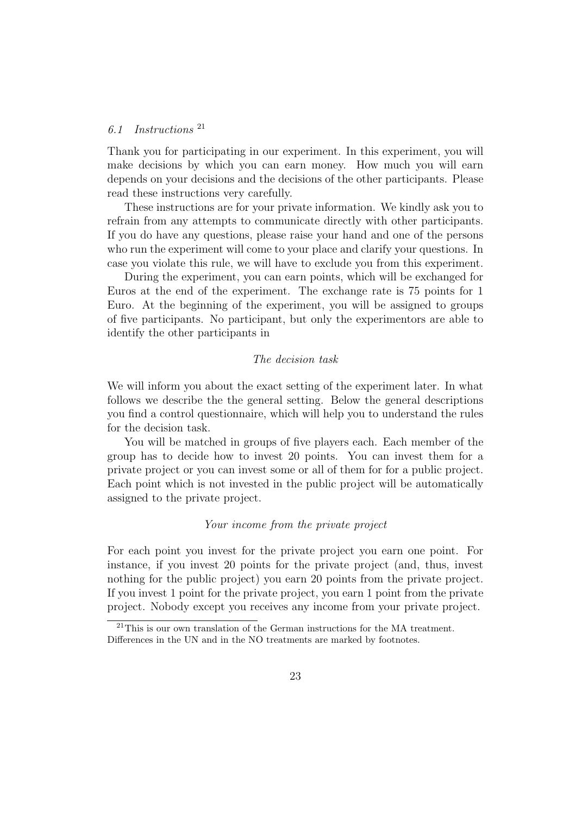# 6.1 Instructions <sup>21</sup>

Thank you for participating in our experiment. In this experiment, you will make decisions by which you can earn money. How much you will earn depends on your decisions and the decisions of the other participants. Please read these instructions very carefully.

These instructions are for your private information. We kindly ask you to refrain from any attempts to communicate directly with other participants. If you do have any questions, please raise your hand and one of the persons who run the experiment will come to your place and clarify your questions. In case you violate this rule, we will have to exclude you from this experiment.

During the experiment, you can earn points, which will be exchanged for Euros at the end of the experiment. The exchange rate is 75 points for 1 Euro. At the beginning of the experiment, you will be assigned to groups of five participants. No participant, but only the experimentors are able to identify the other participants in

## The decision task

We will inform you about the exact setting of the experiment later. In what follows we describe the the general setting. Below the general descriptions you find a control questionnaire, which will help you to understand the rules for the decision task.

You will be matched in groups of five players each. Each member of the group has to decide how to invest 20 points. You can invest them for a private project or you can invest some or all of them for for a public project. Each point which is not invested in the public project will be automatically assigned to the private project.

# Your income from the private project

For each point you invest for the private project you earn one point. For instance, if you invest 20 points for the private project (and, thus, invest nothing for the public project) you earn 20 points from the private project. If you invest 1 point for the private project, you earn 1 point from the private project. Nobody except you receives any income from your private project.

<sup>&</sup>lt;sup>21</sup>This is our own translation of the German instructions for the MA treatment. Differences in the UN and in the NO treatments are marked by footnotes.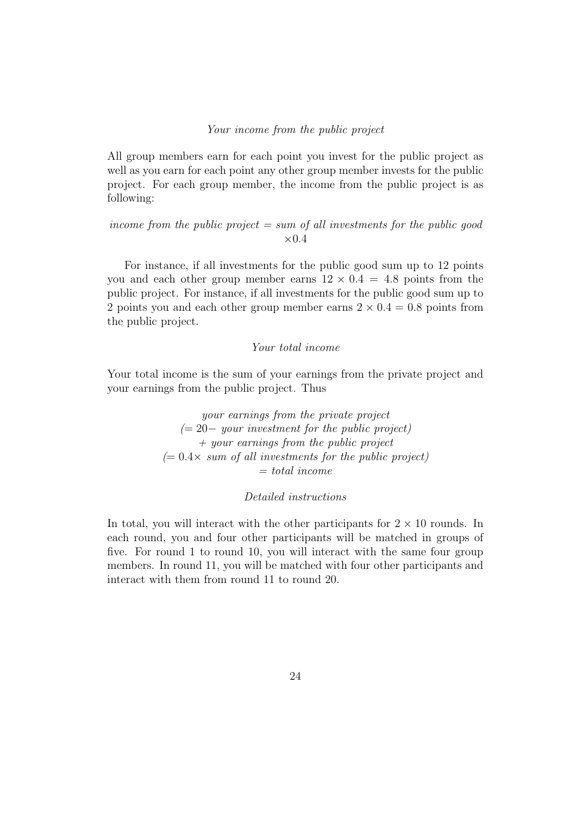#### Your income from the public project

All group members earn for each point you invest for the public project as well as you earn for each point any other group member invests for the public project. For each group member, the income from the public project is as following:

income from the public project  $= sum$  of all investments for the public good  $\times 0.4$ 

For instance, if all investments for the public good sum up to 12 points you and each other group member earns  $12 \times 0.4 = 4.8$  points from the public project. For instance, if all investments for the public good sum up to 2 points you and each other group member earns  $2 \times 0.4 = 0.8$  points from the public project.

## Your total income

Your total income is the sum of your earnings from the private project and your earnings from the public project. Thus

> your earnings from the private project  $(= 20 -$  your investment for the public project)  $+$  your earnings from the public project  $(= 0.4 \times \, \text{sum of all investments for the public project})$  $= total\ income$

## Detailed instructions

In total, you will interact with the other participants for  $2 \times 10$  rounds. In each round, you and four other participants will be matched in groups of five. For round 1 to round 10, you will interact with the same four group members. In round 11, you will be matched with four other participants and interact with them from round 11 to round 20.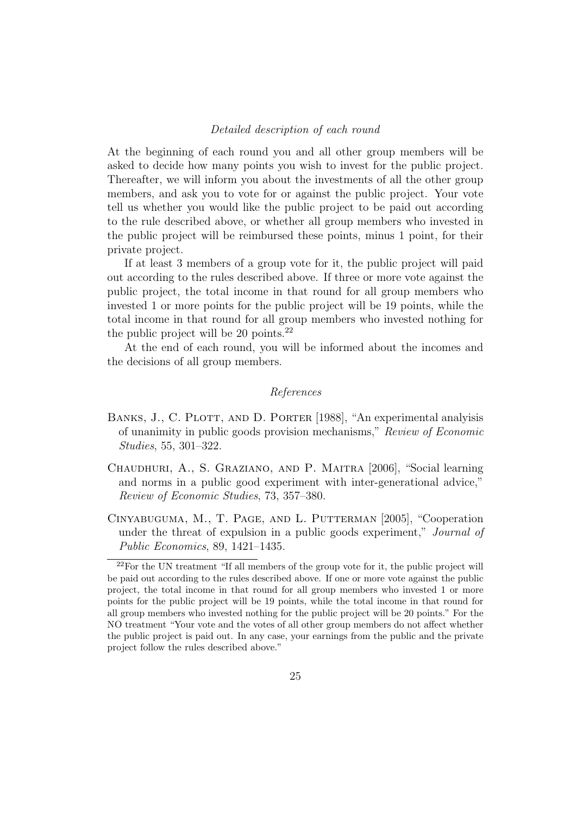#### Detailed description of each round

At the beginning of each round you and all other group members will be asked to decide how many points you wish to invest for the public project. Thereafter, we will inform you about the investments of all the other group members, and ask you to vote for or against the public project. Your vote tell us whether you would like the public project to be paid out according to the rule described above, or whether all group members who invested in the public project will be reimbursed these points, minus 1 point, for their private project.

If at least 3 members of a group vote for it, the public project will paid out according to the rules described above. If three or more vote against the public project, the total income in that round for all group members who invested 1 or more points for the public project will be 19 points, while the total income in that round for all group members who invested nothing for the public project will be 20 points.<sup>22</sup>

At the end of each round, you will be informed about the incomes and the decisions of all group members.

# References

- BANKS, J., C. PLOTT, AND D. PORTER [1988], "An experimental analyisis of unanimity in public goods provision mechanisms," Review of Economic Studies, 55, 301–322.
- Chaudhuri, A., S. Graziano, and P. Maitra [2006], "Social learning and norms in a public good experiment with inter-generational advice," Review of Economic Studies, 73, 357–380.
- Cinyabuguma, M., T. Page, and L. Putterman [2005], "Cooperation under the threat of expulsion in a public goods experiment," Journal of Public Economics, 89, 1421–1435.

 $22$ For the UN treatment "If all members of the group vote for it, the public project will be paid out according to the rules described above. If one or more vote against the public project, the total income in that round for all group members who invested 1 or more points for the public project will be 19 points, while the total income in that round for all group members who invested nothing for the public project will be 20 points." For the NO treatment "Your vote and the votes of all other group members do not affect whether the public project is paid out. In any case, your earnings from the public and the private project follow the rules described above."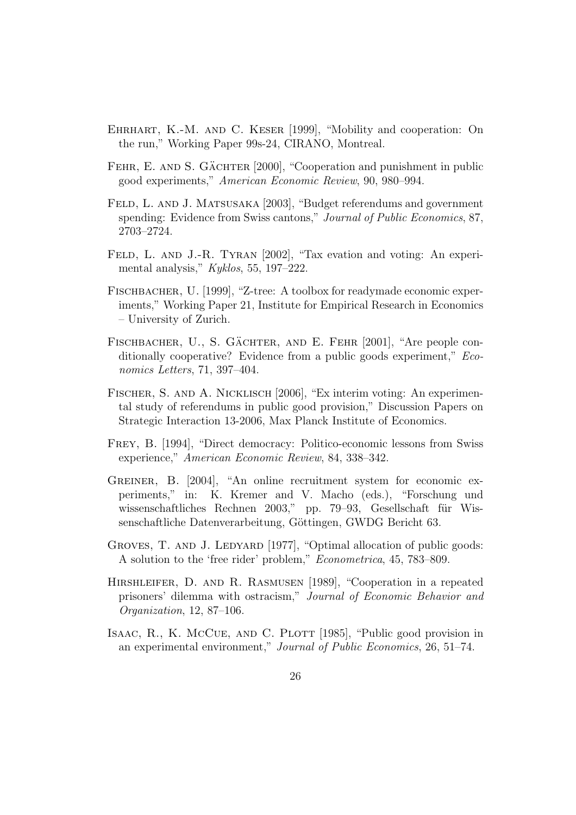- Ehrhart, K.-M. and C. Keser [1999], "Mobility and cooperation: On the run," Working Paper 99s-24, CIRANO, Montreal.
- FEHR, E. AND S. GÄCHTER [2000], "Cooperation and punishment in public good experiments," American Economic Review, 90, 980–994.
- FELD, L. AND J. MATSUSAKA [2003], "Budget referendums and government spending: Evidence from Swiss cantons," Journal of Public Economics, 87, 2703–2724.
- FELD, L. AND J.-R. TYRAN [2002], "Tax evation and voting: An experimental analysis," Kyklos, 55, 197–222.
- FISCHBACHER, U. [1999], "Z-tree: A toolbox for readymade economic experiments," Working Paper 21, Institute for Empirical Research in Economics – University of Zurich.
- FISCHBACHER, U., S. GÄCHTER, AND E. FEHR [2001], "Are people conditionally cooperative? Evidence from a public goods experiment," Economics Letters, 71, 397–404.
- Fischer, S. and A. Nicklisch [2006], "Ex interim voting: An experimental study of referendums in public good provision," Discussion Papers on Strategic Interaction 13-2006, Max Planck Institute of Economics.
- Frey, B. [1994], "Direct democracy: Politico-economic lessons from Swiss experience," American Economic Review, 84, 338–342.
- GREINER, B. [2004], "An online recruitment system for economic experiments," in: K. Kremer and V. Macho (eds.), "Forschung und wissenschaftliches Rechnen 2003," pp. 79–93, Gesellschaft für Wissenschaftliche Datenverarbeitung, Göttingen, GWDG Bericht 63.
- GROVES, T. AND J. LEDYARD [1977], "Optimal allocation of public goods: A solution to the 'free rider' problem," Econometrica, 45, 783–809.
- Hirshleifer, D. and R. Rasmusen [1989], "Cooperation in a repeated prisoners' dilemma with ostracism," Journal of Economic Behavior and Organization, 12, 87–106.
- ISAAC, R., K. McCue, AND C. PLOTT [1985], "Public good provision in an experimental environment," Journal of Public Economics, 26, 51–74.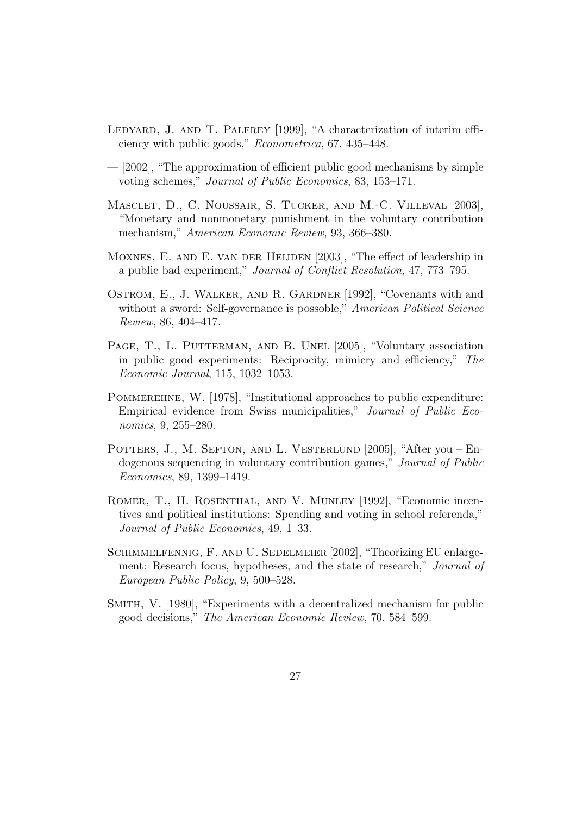- LEDYARD, J. AND T. PALFREY [1999], "A characterization of interim efficiency with public goods," Econometrica, 67, 435–448.
- [2002], "The approximation of efficient public good mechanisms by simple voting schemes," Journal of Public Economics, 83, 153–171.
- Masclet, D., C. Noussair, S. Tucker, and M.-C. Villeval [2003], "Monetary and nonmonetary punishment in the voluntary contribution mechanism," American Economic Review, 93, 366–380.
- MOXNES, E. AND E. VAN DER HEIJDEN [2003], "The effect of leadership in a public bad experiment," Journal of Conflict Resolution, 47, 773–795.
- Ostrom, E., J. Walker, and R. Gardner [1992], "Covenants with and without a sword: Self-governance is possoble," American Political Science Review, 86, 404–417.
- PAGE, T., L. PUTTERMAN, AND B. UNEL [2005], "Voluntary association in public good experiments: Reciprocity, mimicry and efficiency," The Economic Journal, 115, 1032–1053.
- POMMEREHNE, W. [1978], "Institutional approaches to public expenditure: Empirical evidence from Swiss municipalities," Journal of Public Economics, 9, 255–280.
- POTTERS, J., M. SEFTON, AND L. VESTERLUND [2005], "After you Endogenous sequencing in voluntary contribution games," Journal of Public Economics, 89, 1399–1419.
- ROMER, T., H. ROSENTHAL, AND V. MUNLEY [1992], "Economic incentives and political institutions: Spending and voting in school referenda," Journal of Public Economics, 49, 1–33.
- SCHIMMELFENNIG, F. AND U. SEDELMEIER [2002], "Theorizing EU enlargement: Research focus, hypotheses, and the state of research," Journal of European Public Policy, 9, 500–528.
- SMITH, V. [1980], "Experiments with a decentralized mechanism for public good decisions," The American Economic Review, 70, 584–599.